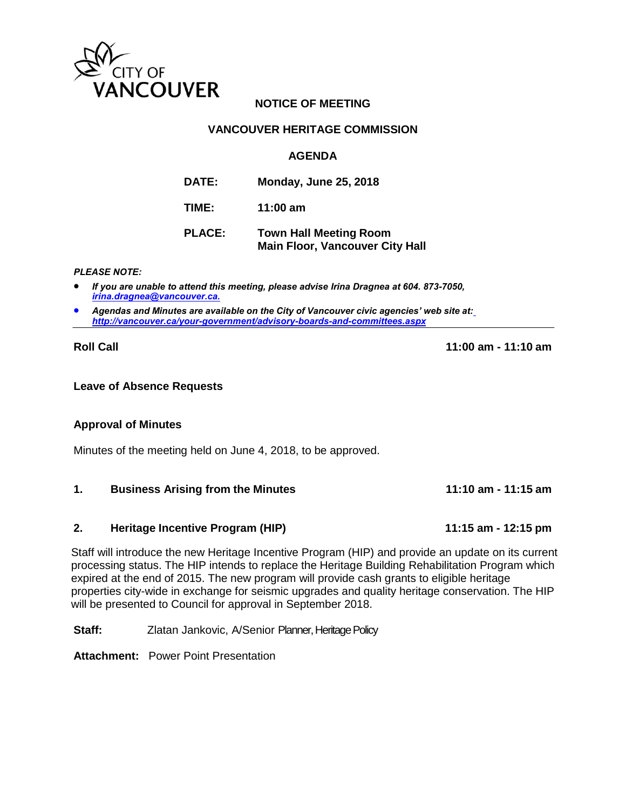

# **NOTICE OF MEETING**

## **VANCOUVER HERITAGE COMMISSION**

## **AGENDA**

| <b>DATE:</b>  | <b>Monday, June 25, 2018</b>                                            |
|---------------|-------------------------------------------------------------------------|
| TIME:         | 11:00 $am$                                                              |
| <b>PLACE:</b> | <b>Town Hall Meeting Room</b><br><b>Main Floor, Vancouver City Hall</b> |

#### *PLEASE NOTE:*

 *If you are unable to attend this meeting, please advise Irina Dragnea at 604. 873-7050, [irina.dragnea@vancouver.ca.](mailto:irina.dragnea@vancouver.ca.)*

 *Agendas and Minutes are available on the City of Vancouver civic agencies' web site at[:](http://vancouver.ca/your-government/advisory-boards-and-committees.aspx) <http://vancouver.ca/your-government/advisory-boards-and-committees.aspx>*

**Roll Call 11:00 am - 11:10 am**

#### **Leave of Absence Requests**

## **Approval of Minutes**

Minutes of the meeting held on June 4, 2018, to be approved.

## **1. Business Arising from the Minutes 11:10 am - 11:15 am**

## **2. Heritage Incentive Program (HIP) 11:15 am - 12:15 pm**

Staff will introduce the new Heritage Incentive Program (HIP) and provide an update on its current processing status. The HIP intends to replace the Heritage Building Rehabilitation Program which expired at the end of 2015. The new program will provide cash grants to eligible heritage properties city-wide in exchange for seismic upgrades and quality heritage conservation. The HIP will be presented to Council for approval in September 2018.

**Staff:** Zlatan Jankovic, A/Senior Planner, Heritage Policy

**Attachment:** Power Point Presentation